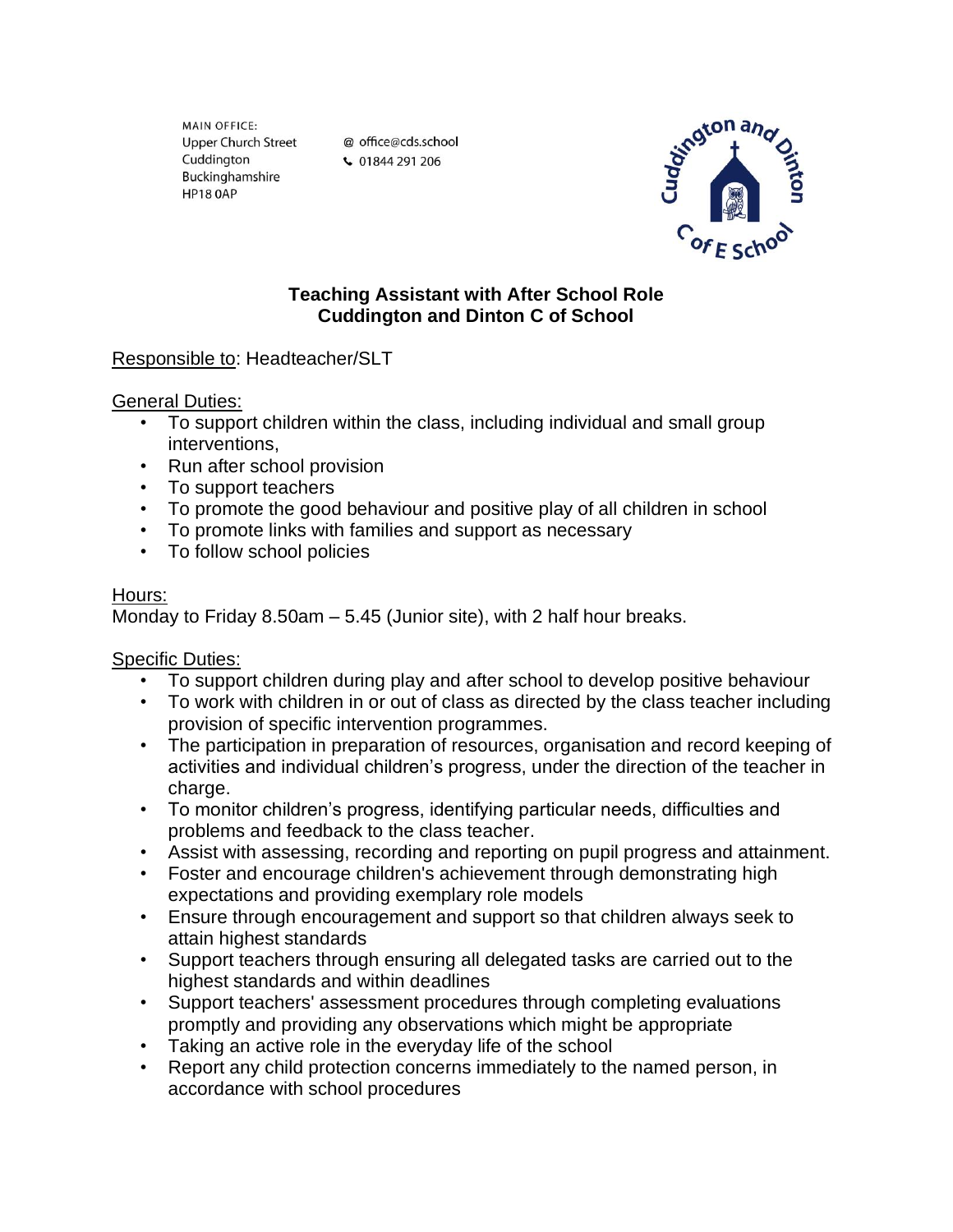MAIN OFFICE: **Upper Church Street** Cuddington Buckinghamshire **HP18 0AP** 

@ office@cds.school ↓ 01844 291 206



## **Teaching Assistant with After School Role Cuddington and Dinton C of School**

# Responsible to: Headteacher/SLT

#### General Duties:

- To support children within the class, including individual and small group interventions,
- Run after school provision
- To support teachers
- To promote the good behaviour and positive play of all children in school
- To promote links with families and support as necessary
- To follow school policies

#### Hours:

Monday to Friday 8.50am – 5.45 (Junior site), with 2 half hour breaks.

### Specific Duties:

- To support children during play and after school to develop positive behaviour
- To work with children in or out of class as directed by the class teacher including provision of specific intervention programmes.
- The participation in preparation of resources, organisation and record keeping of activities and individual children's progress, under the direction of the teacher in charge.
- To monitor children's progress, identifying particular needs, difficulties and problems and feedback to the class teacher.
- Assist with assessing, recording and reporting on pupil progress and attainment.
- Foster and encourage children's achievement through demonstrating high expectations and providing exemplary role models
- Ensure through encouragement and support so that children always seek to attain highest standards
- Support teachers through ensuring all delegated tasks are carried out to the highest standards and within deadlines
- Support teachers' assessment procedures through completing evaluations promptly and providing any observations which might be appropriate
- Taking an active role in the everyday life of the school
- Report any child protection concerns immediately to the named person, in accordance with school procedures